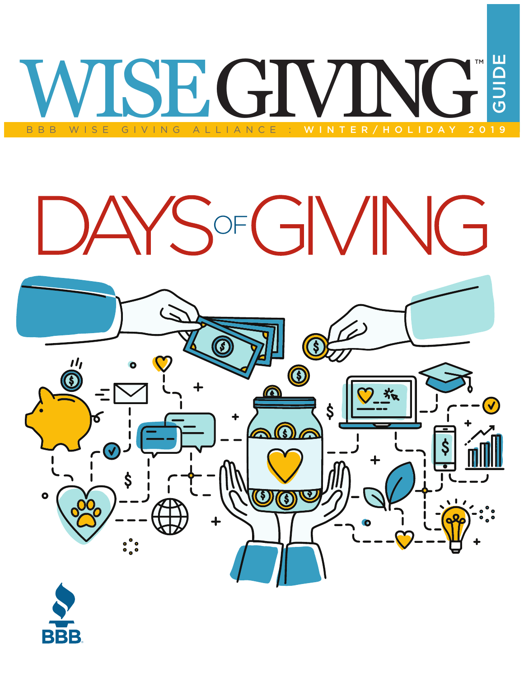# BBB WISE GIVING ALLIANCE : WINTER/HOLIDAY 2019 GUIDE TM

# SOFGIVING



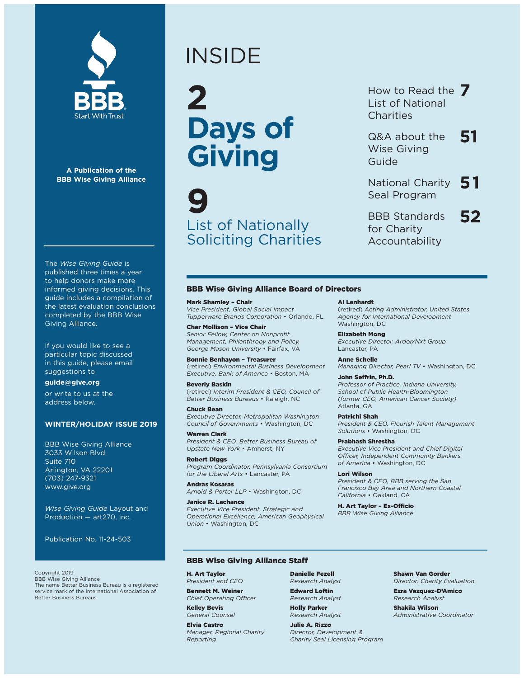

**A Publication of the BBB Wise Giving Alliance**

The *Wise Giving Guide* is published three times a year to help donors make more informed giving decisions. This guide includes a compilation of the latest evaluation conclusions completed by the BBB Wise Giving Alliance.

If you would like to see a particular topic discussed in this guide, please email suggestions to

#### **guide@give.org**

or write to us at the address below.

#### **WINTER/HOLIDAY ISSUE 2019**

BBB Wise Giving Alliance 3033 Wilson Blvd. Suite 710 Arlington, VA 22201 (703) 247-9321 www.give.org

*Wise Giving Guide* Layout and Production — art270, inc.

Publication No. 11-24-503

Copyright 2019 BBB Wise Giving Alliance The name Better Business Bureau is a registered service mark of the International Association of Better Business Bureaus

# INSIDE

**2 Days of Giving**

**9** List of Nationally Soliciting Charities

#### How to Read the **7** List of National **Charities**

- Q&A about the **51** Wise Giving Guide
- National Charity **51** Seal Program
- BBB Standards **52** for Charity Accountability

#### BBB Wise Giving Alliance Board of Directors

#### Mark Shamley – Chair *Vice President, Global Social Impact Tupperware Brands Corporation* • Orlando, FL

Char Mollison – Vice Chair *Senior Fellow, Center on Nonprofit Management, Philanthropy and Policy, George Mason University* • Fairfax, VA

Bonnie Benhayon – Treasurer (retired) *Environmental Business Development Executive, Bank of America* • Boston, MA

#### Beverly Baskin (retired) *Interim President & CEO, Council of Better Business Bureaus* • Raleigh, NC

Chuck Bean

*Executive Director, Metropolitan Washington Council of Governments* • Washington, DC

#### Warren Clark

*President & CEO, Better Business Bureau of Upstate New York* • Amherst, NY

Robert Diggs *Program Coordinator, Pennsylvania Consortium for the Liberal Arts* • Lancaster, PA

Andras Kosaras *Arnold & Porter LLP* • Washington, DC

#### Janice R. Lachance

*Executive Vice President, Strategic and Operational Excellence, American Geophysical Union* • Washington, DC

#### Al Lenhardt

(retired) *Acting Administrator, United States Agency for International Development* Washington, DC

Elizabeth Mong *Executive Director, Ardor/Nxt Group* Lancaster, PA

Anne Schelle

*Managing Director, Pearl TV* • Washington, DC

#### John Seffrin, Ph.D.

*Professor of Practice, Indiana University, School of Public Health-Bloomington (former CEO, American Cancer Society)* Atlanta, GA

Patrichi Shah

*President & CEO, Flourish Talent Management Solutions* • Washington, DC

#### Prabhash Shrestha

*Executive Vice President and Chief Digital Officer, Independent Community Bankers of America* • Washington, DC

#### Lori Wilson

*President & CEO, BBB serving the San Francisco Bay Area and Northern Coastal California* • Oakland, CA

H. Art Taylor – Ex-Officio *BBB Wise Giving Alliance*

#### BBB Wise Giving Alliance Staff

H. Art Taylor *President and CEO* 

Bennett M. Weiner *Chief Operating Officer* 

Kelley Bevis *General Counsel* 

Elvia Castro *Manager, Regional Charity Reporting*

Danielle Fezell *Research Analyst*

Edward Loftin *Research Analyst* 

Holly Parker *Research Analyst*

Julie A. Rizzo *Director, Development & Charity Seal Licensing Program*  Shawn Van Gorder

*Director, Charity Evaluation* 

Ezra Vazquez-D'Amico *Research Analyst*  Shakila Wilson

*Administrative Coordinator*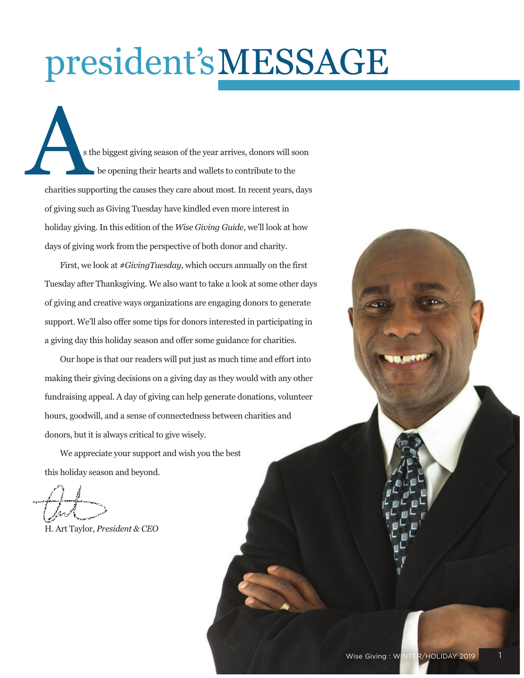# president'sMESSAGE

s the biggest giving season of the year arrives, donors will soon be opening their hearts and wallets to contribute to the charities supporting the causes they care about most. In recent years, days of giving such as Giving Tuesday have kindled even more interest in holiday giving. In this edition of the *Wise Giving Guide*, we'll look at how days of giving work from the perspective of both donor and charity. s t

First, we look at *#GivingTuesday*, which occurs annually on the first Tuesday after Thanksgiving. We also want to take a look at some other days of giving and creative ways organizations are engaging donors to generate support. We'll also offer some tips for donors interested in participating in a giving day this holiday season and offer some guidance for charities.

Our hope is that our readers will put just as much time and effort into making their giving decisions on a giving day as they would with any other fundraising appeal. A day of giving can help generate donations, volunteer hours, goodwill, and a sense of connectedness between charities and donors, but it is always critical to give wisely.

We appreciate your support and wish you the best this holiday season and beyond.

H. Art Taylor, *President & CEO*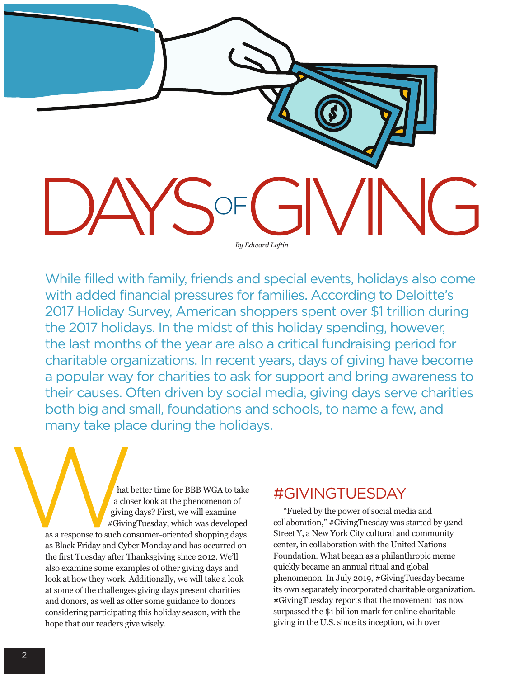

While filled with family, friends and special events, holidays also come with added financial pressures for families. According to Deloitte's 2017 Holiday Survey, American shoppers spent over \$1 trillion during the 2017 holidays. In the midst of this holiday spending, however, the last months of the year are also a critical fundraising period for charitable organizations. In recent years, days of giving have become a popular way for charities to ask for support and bring awareness to their causes. Often driven by social media, giving days serve charities both big and small, foundations and schools, to name a few, and many take place during the holidays.

hat b<br>
a clos<br>
a clos<br>
giving<br>
#Giving<br>
#Giving<br>
#Giving<br>
2010<br>
and Cybe hat better time for BBB WGA to take a closer look at the phenomenon of giving days? First, we will examine #GivingTuesday, which was developed as a response to such consumer-oriented shopping days as Black Friday and Cyber Monday and has occurred on the first Tuesday after Thanksgiving since 2012. We'll also examine some examples of other giving days and look at how they work. Additionally, we will take a look at some of the challenges giving days present charities and donors, as well as offer some guidance to donors considering participating this holiday season, with the hope that our readers give wisely.

# #GIVINGTUESDAY

"Fueled by the power of social media and collaboration," #GivingTuesday was started by 92nd Street Y, a New York City cultural and community center, in collaboration with the United Nations Foundation. What began as a philanthropic meme quickly became an annual ritual and global phenomenon. In July 2019, #GivingTuesday became its own separately incorporated charitable organization. #GivingTuesday reports that the movement has now surpassed the \$1 billion mark for online charitable giving in the U.S. since its inception, with over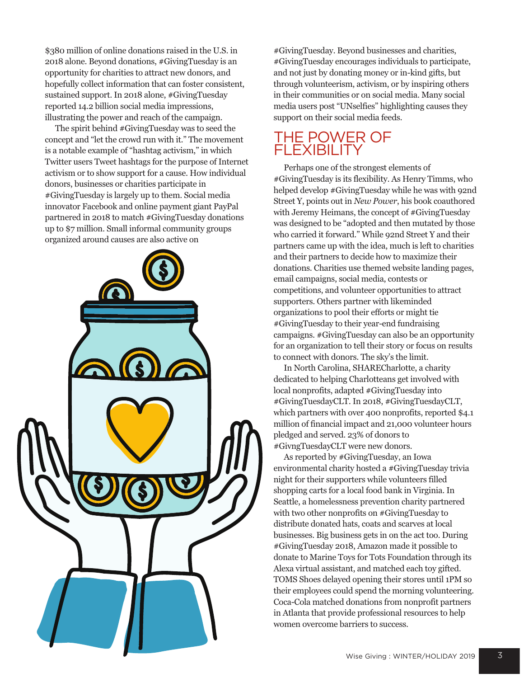\$380 million of online donations raised in the U.S. in 2018 alone. Beyond donations, #GivingTuesday is an opportunity for charities to attract new donors, and hopefully collect information that can foster consistent, sustained support. In 2018 alone, #GivingTuesday reported 14.2 billion social media impressions, illustrating the power and reach of the campaign.

The spirit behind #GivingTuesday was to seed the concept and "let the crowd run with it." The movement is a notable example of "hashtag activism," in which Twitter users Tweet hashtags for the purpose of Internet activism or to show support for a cause. How individual donors, businesses or charities participate in #GivingTuesday is largely up to them. Social media innovator Facebook and online payment giant PayPal partnered in 2018 to match #GivingTuesday donations up to \$7 million. Small informal community groups organized around causes are also active on



#GivingTuesday. Beyond businesses and charities, #GivingTuesday encourages individuals to participate, and not just by donating money or in-kind gifts, but through volunteerism, activism, or by inspiring others in their communities or on social media. Many social media users post "UNselfies" highlighting causes they support on their social media feeds.

### THE POWER OF **FLEXIBILITY**

Perhaps one of the strongest elements of #GivingTuesday is its flexibility. As Henry Timms, who helped develop #GivingTuesday while he was with 92nd Street Y, points out in *New Power*, his book coauthored with Jeremy Heimans, the concept of #GivingTuesday was designed to be "adopted and then mutated by those who carried it forward." While 92nd Street Y and their partners came up with the idea, much is left to charities and their partners to decide how to maximize their donations. Charities use themed website landing pages, email campaigns, social media, contests or competitions, and volunteer opportunities to attract supporters. Others partner with likeminded organizations to pool their efforts or might tie #GivingTuesday to their year-end fundraising campaigns. #GivingTuesday can also be an opportunity for an organization to tell their story or focus on results to connect with donors. The sky's the limit.

In North Carolina, SHARECharlotte, a charity dedicated to helping Charlotteans get involved with local nonprofits, adapted #GivingTuesday into #GivingTuesdayCLT. In 2018, #GivingTuesdayCLT, which partners with over 400 nonprofits, reported \$4.1 million of financial impact and 21,000 volunteer hours pledged and served. 23% of donors to #GivngTuesdayCLT were new donors.

As reported by #GivingTuesday, an Iowa environmental charity hosted a #GivingTuesday trivia night for their supporters while volunteers filled shopping carts for a local food bank in Virginia. In Seattle, a homelessness prevention charity partnered with two other nonprofits on #GivingTuesday to distribute donated hats, coats and scarves at local businesses. Big business gets in on the act too. During #GivingTuesday 2018, Amazon made it possible to donate to Marine Toys for Tots Foundation through its Alexa virtual assistant, and matched each toy gifted. TOMS Shoes delayed opening their stores until 1PM so their employees could spend the morning volunteering. Coca-Cola matched donations from nonprofit partners in Atlanta that provide professional resources to help women overcome barriers to success.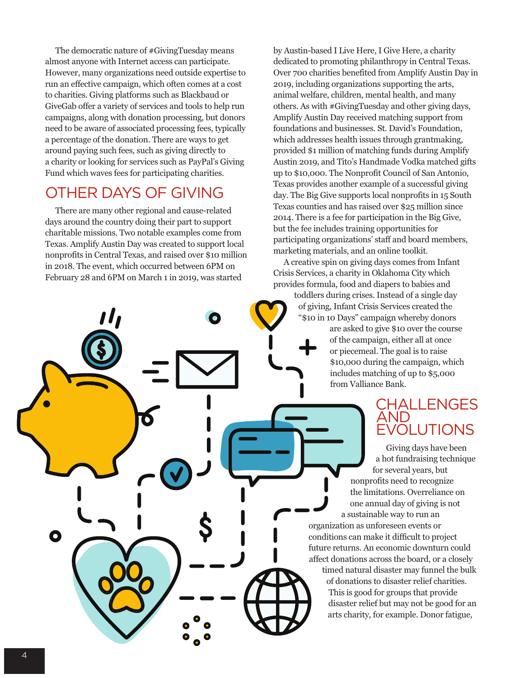The democratic nature of #GivingTuesday means almost anyone with Internet access can participate. However, many organizations need outside expertise to run an effective campaign, which often comes at a cost to charities. Giving platforms such as Blackbaud or GiveGab offer a variety of services and tools to help run campaigns, along with donation processing, but donors need to be aware of associated processing fees, typically a percentage of the donation. There are ways to get around paying such fees, such as giving directly to a charity or looking for services such as PayPal's Giving Fund which waves fees for participating charities.

# OTHER DAYS OF GIVING

There are many other regional and cause-related days around the country doing their part to support charitable missions. Two notable examples come from Texas. Amplify Austin Day was created to support local nonprofits in Central Texas, and raised over \$10 million in 2018. The event, which occurred between 6PM on February 28 and 6PM on March 1 in 2019, was started

O

by Austin-based I Live Here, I Give Here, a charity dedicated to promoting philanthropy in Central Texas. Over 700 charities benefited from Amplify Austin Day in 2019, including organizations supporting the arts, animal welfare, children, mental health, and many others. As with #GivingTuesday and other giving days, Amplify Austin Day received matching support from foundations and businesses. St. David's Foundation, which addresses health issues through grantmaking, provided \$1 million of matching funds during Amplify Austin 2019, and Tito's Handmade Vodka matched gifts up to \$10,000. The Nonprofit Council of San Antonio, Texas provides another example of a successful giving day. The Big Give supports local nonprofits in 15 South Texas counties and has raised over \$25 million since 2014. There is a fee for participation in the Big Give, but the fee includes training opportunities for participating organizations' staff and board members, marketing materials, and an online toolkit.

A creative spin on giving days comes from Infant Crisis Services, a charity in Oklahoma City which provides formula, food and diapers to babies and

> toddlers during crises. Instead of a single day of giving, Infant Crisis Services created the "\$10 in 10 Days" campaign whereby donors are asked to give \$10 over the course of the campaign, either all at once or piecemeal. The goal is to raise \$10,000 during the campaign, which includes matching of up to \$5,000 from Valliance Bank.

## CHALLENGES AND EVOLUTIONS

Giving days have been a hot fundraising technique for several years, but nonprofits need to recognize the limitations. Overreliance on one annual day of giving is not a sustainable way to run an organization as unforeseen events or conditions can make it difficult to project future returns. An economic downturn could affect donations across the board, or a closely

timed natural disaster may funnel the bulk of donations to disaster relief charities. This is good for groups that provide disaster relief but may not be good for an arts charity, for example. Donor fatigue,

O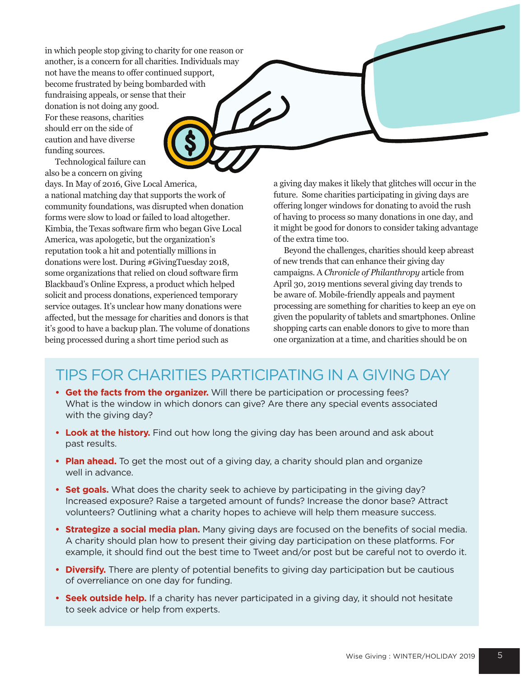in which people stop giving to charity for one reason or another, is a concern for all charities. Individuals may not have the means to offer continued support, become frustrated by being bombarded with fundraising appeals, or sense that their donation is not doing any good. For these reasons, charities should err on the side of caution and have diverse funding sources.

Technological failure can also be a concern on giving

days. In May of 2016, Give Local America, a national matching day that supports the work of community foundations, was disrupted when donation forms were slow to load or failed to load altogether. Kimbia, the Texas software firm who began Give Local America, was apologetic, but the organization's reputation took a hit and potentially millions in donations were lost. During #GivingTuesday 2018, some organizations that relied on cloud software firm Blackbaud's Online Express, a product which helped solicit and process donations, experienced temporary service outages. It's unclear how many donations were affected, but the message for charities and donors is that it's good to have a backup plan. The volume of donations being processed during a short time period such as

a giving day makes it likely that glitches will occur in the future. Some charities participating in giving days are offering longer windows for donating to avoid the rush of having to process so many donations in one day, and it might be good for donors to consider taking advantage of the extra time too.

Beyond the challenges, charities should keep abreast of new trends that can enhance their giving day campaigns. A *Chronicle of Philanthropy* article from April 30, 2019 mentions several giving day trends to be aware of. Mobile-friendly appeals and payment processing are something for charities to keep an eye on given the popularity of tablets and smartphones. Online shopping carts can enable donors to give to more than one organization at a time, and charities should be on

# TIPS FOR CHARITIES PARTICIPATING IN A GIVING DAY

- **Get the facts from the organizer.** Will there be participation or processing fees? What is the window in which donors can give? Are there any special events associated with the giving day?
- **Look at the history.** Find out how long the giving day has been around and ask about past results.
- **Plan ahead.** To get the most out of a giving day, a charity should plan and organize well in advance.
- **Set goals.** What does the charity seek to achieve by participating in the giving day? Increased exposure? Raise a targeted amount of funds? Increase the donor base? Attract volunteers? Outlining what a charity hopes to achieve will help them measure success.
- **Strategize a social media plan.** Many giving days are focused on the benefits of social media. A charity should plan how to present their giving day participation on these platforms. For example, it should find out the best time to Tweet and/or post but be careful not to overdo it.
- **Diversify.** There are plenty of potential benefits to giving day participation but be cautious of overreliance on one day for funding.
- **Seek outside help.** If a charity has never participated in a giving day, it should not hesitate to seek advice or help from experts.